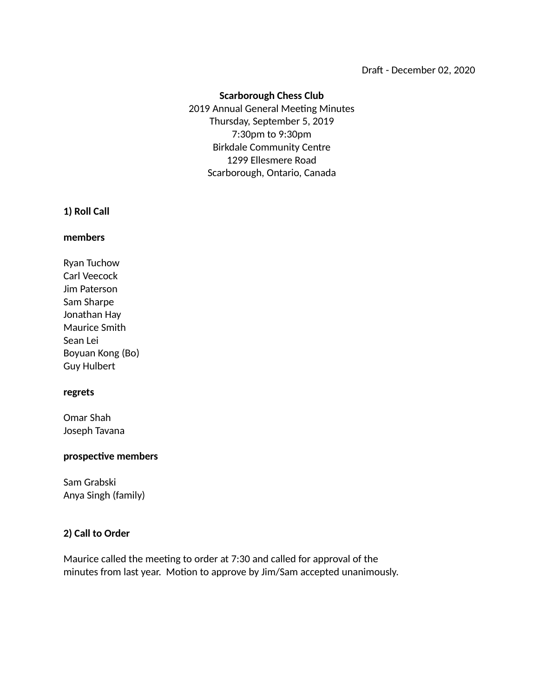### Draft - December 02, 2020

# **Scarborough Chess Club**

 2019 Annual General Meeting Minutes Thursday, September 5, 2019 7:30pm to 9:30pm Birkdale Community Centre 1299 Ellesmere Road Scarborough, Ontario, Canada

### **1) Roll Call**

### **members**

Ryan Tuchow Carl Veecock Jim Paterson Sam Sharpe Jonathan Hay Maurice Smith Sean Lei Boyuan Kong (Bo) Guy Hulbert

### **regrets**

Omar Shah Joseph Tavana

### **prospective members**

Sam Grabski Anya Singh (family)

### **2) Call to Order**

Maurice called the meeting to order at 7:30 and called for approval of the minutes from last year. Motion to approve by Jim/Sam accepted unanimously.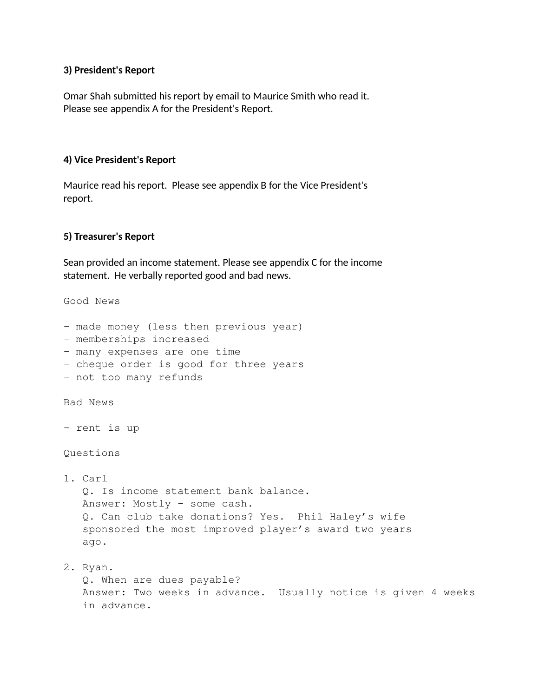### **3) President's Report**

Omar Shah submitted his report by email to Maurice Smith who read it. Please see appendix A for the President's Report.

## **4) Vice President's Report**

Maurice read his report. Please see appendix B for the Vice President's report.

## **5) Treasurer's Report**

Sean provided an income statement. Please see appendix C for the income statement. He verbally reported good and bad news.

Good News

- made money (less then previous year)
- memberships increased
- many expenses are one time
- cheque order is good for three years
- not too many refunds

Bad News

- rent is up

Questions

1. Carl Q. Is income statement bank balance. Answer: Mostly – some cash. Q. Can club take donations? Yes. Phil Haley's wife sponsored the most improved player's award two years ago.

2. Ryan. Q. When are dues payable? Answer: Two weeks in advance. Usually notice is given 4 weeks in advance.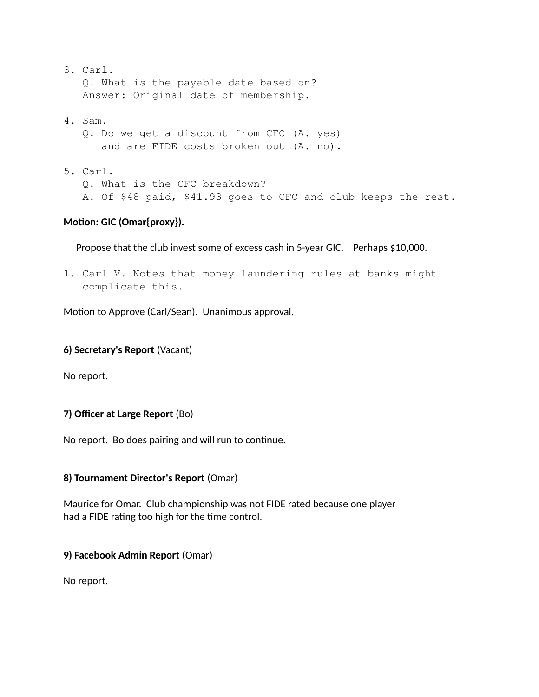- 3. Carl. Q. What is the payable date based on? Answer: Original date of membership.
- 4. Sam.
	- Q. Do we get a discount from CFC (A. yes) and are FIDE costs broken out (A. no).
- 5. Carl. Q. What is the CFC breakdown? A. Of \$48 paid, \$41.93 goes to CFC and club keeps the rest.

# **Motion: GIC (Omar{proxy}).**

Propose that the club invest some of excess cash in 5-year GIC. Perhaps \$10,000.

1. Carl V. Notes that money laundering rules at banks might complicate this.

Motion to Approve (Carl/Sean). Unanimous approval.

# **6) Secretary's Report** (Vacant)

No report.

# **7) Officer at Large Report** (Bo)

No report. Bo does pairing and will run to continue.

# **8) Tournament Director's Report** (Omar)

Maurice for Omar. Club championship was not FIDE rated because one player had a FIDE rating too high for the time control.

## **9) Facebook Admin Report** (Omar)

No report.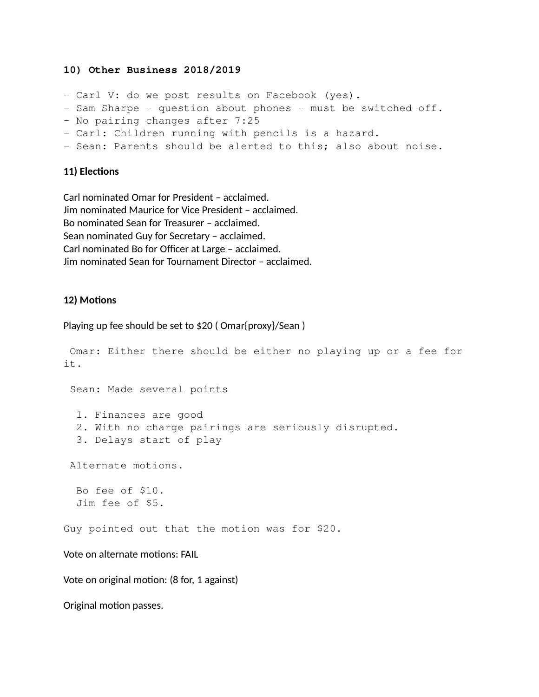### **10) Other Business 2018/2019**

- Carl V: do we post results on Facebook (yes).
- Sam Sharpe question about phones must be switched off.
- No pairing changes after 7:25
- Carl: Children running with pencils is a hazard.
- Sean: Parents should be alerted to this; also about noise.

### **11) Elections**

Carl nominated Omar for President – acclaimed. Jim nominated Maurice for Vice President – acclaimed. Bo nominated Sean for Treasurer – acclaimed. Sean nominated Guy for Secretary – acclaimed. Carl nominated Bo for Officer at Large – acclaimed. Jim nominated Sean for Tournament Director – acclaimed.

## **12) Motions**

#### Playing up fee should be set to \$20 (Omar{proxy}/Sean)

```
 Omar: Either there should be either no playing up or a fee for 
it.
  Sean: Made several points
   1. Finances are good
   2. With no charge pairings are seriously disrupted.
   3. Delays start of play
  Alternate motions.
   Bo fee of $10.
   Jim fee of $5.
Guy pointed out that the motion was for $20.
Vote on alternate motions: FAIL
Vote on original motion: (8 for, 1 against)
Original motion passes.
```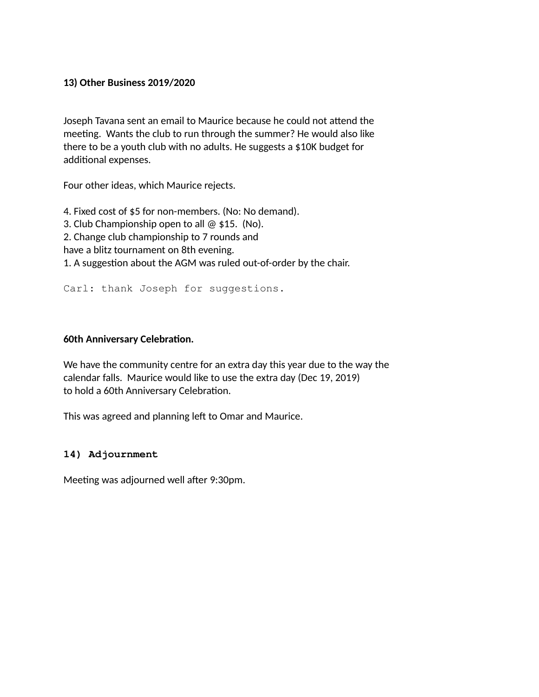# **13) Other Business 2019/2020**

Joseph Tavana sent an email to Maurice because he could not attend the meeting. Wants the club to run through the summer? He would also like there to be a youth club with no adults. He suggests a \$10K budget for additional expenses.

Four other ideas, which Maurice rejects.

4. Fixed cost of \$5 for non-members. (No: No demand). 3. Club Championship open to all @ \$15. (No). 2. Change club championship to 7 rounds and have a blitz tournament on 8th evening. 1. A suggestion about the AGM was ruled out-of-order by the chair.

Carl: thank Joseph for suggestions.

# **60th Anniversary Celebration.**

We have the community centre for an extra day this year due to the way the calendar falls. Maurice would like to use the extra day (Dec 19, 2019) to hold a 60th Anniversary Celebration.

This was agreed and planning left to Omar and Maurice.

## **14) Adjournment**

Meeting was adjourned well after 9:30pm.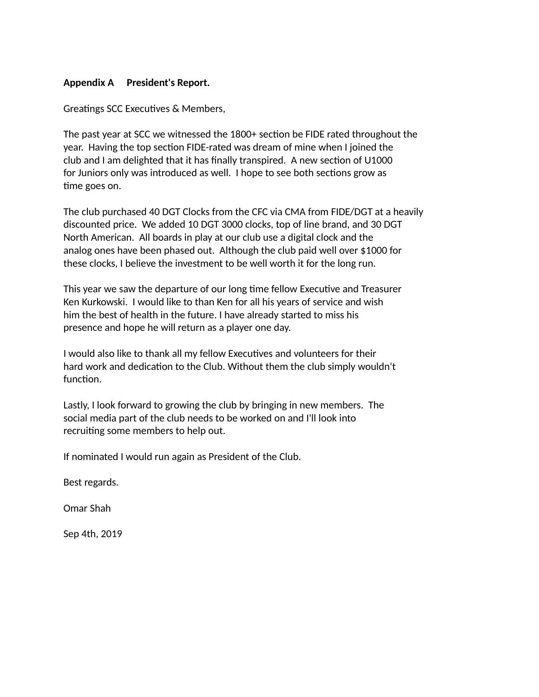## **Appendix A President's Report.**

Greatings SCC Executives & Members,

The past year at SCC we witnessed the 1800+ section be FIDE rated throughout the year. Having the top section FIDE-rated was dream of mine when I joined the club and I am delighted that it has finally transpired. A new section of U1000 for Juniors only was introduced as well. I hope to see both sections grow as time goes on.

The club purchased 40 DGT Clocks from the CFC via CMA from FIDE/DGT at a heavily discounted price. We added 10 DGT 3000 clocks, top of line brand, and 30 DGT North American. All boards in play at our club use a digital clock and the analog ones have been phased out. Although the club paid well over \$1000 for these clocks, I believe the investment to be well worth it for the long run.

This year we saw the departure of our long time fellow Executive and Treasurer Ken Kurkowski. I would like to than Ken for all his years of service and wish him the best of health in the future. I have already started to miss his presence and hope he will return as a player one day.

I would also like to thank all my fellow Executives and volunteers for their hard work and dedication to the Club. Without them the club simply wouldn't function.

Lastly, I look forward to growing the club by bringing in new members. The social media part of the club needs to be worked on and I'll look into recruiting some members to help out.

If nominated I would run again as President of the Club.

Best regards.

Omar Shah

Sep 4th, 2019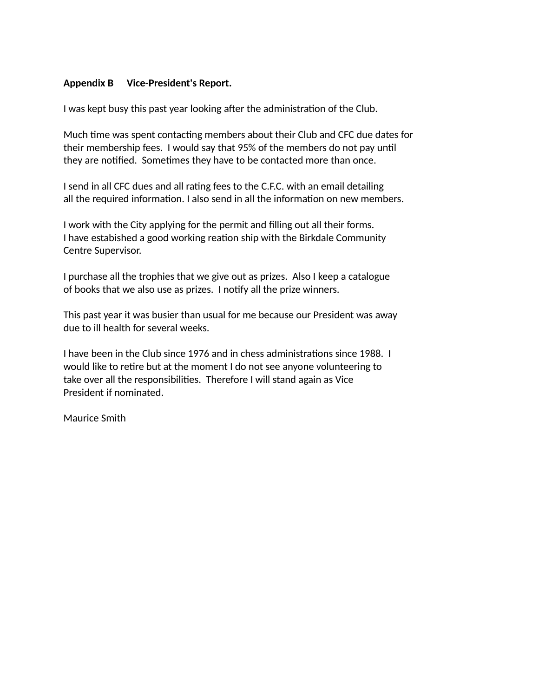## **Appendix B Vice-President's Report.**

I was kept busy this past year looking after the administration of the Club.

Much time was spent contacting members about their Club and CFC due dates for their membership fees. I would say that 95% of the members do not pay until they are notified. Sometimes they have to be contacted more than once.

I send in all CFC dues and all rating fees to the C.F.C. with an email detailing all the required information. I also send in all the information on new members.

I work with the City applying for the permit and filling out all their forms. I have estabished a good working reation ship with the Birkdale Community Centre Supervisor.

I purchase all the trophies that we give out as prizes. Also I keep a catalogue of books that we also use as prizes. I notify all the prize winners.

This past year it was busier than usual for me because our President was away due to ill health for several weeks.

I have been in the Club since 1976 and in chess administrations since 1988. I would like to retire but at the moment I do not see anyone volunteering to take over all the responsibilities. Therefore I will stand again as Vice President if nominated.

Maurice Smith